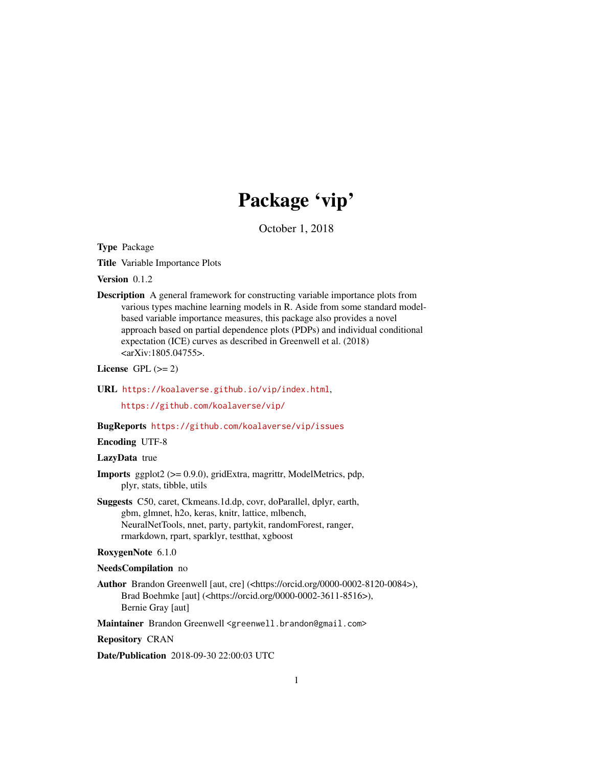# Package 'vip'

October 1, 2018

<span id="page-0-0"></span>Type Package

Title Variable Importance Plots

Version 0.1.2

Description A general framework for constructing variable importance plots from various types machine learning models in R. Aside from some standard modelbased variable importance measures, this package also provides a novel approach based on partial dependence plots (PDPs) and individual conditional expectation (ICE) curves as described in Greenwell et al. (2018) <arXiv:1805.04755>.

License GPL  $(>= 2)$ 

URL <https://koalaverse.github.io/vip/index.html>,

<https://github.com/koalaverse/vip/>

#### BugReports <https://github.com/koalaverse/vip/issues>

#### Encoding UTF-8

#### LazyData true

- Imports ggplot2 (>= 0.9.0), gridExtra, magrittr, ModelMetrics, pdp, plyr, stats, tibble, utils
- Suggests C50, caret, Ckmeans.1d.dp, covr, doParallel, dplyr, earth, gbm, glmnet, h2o, keras, knitr, lattice, mlbench, NeuralNetTools, nnet, party, partykit, randomForest, ranger, rmarkdown, rpart, sparklyr, testthat, xgboost

#### RoxygenNote 6.1.0

#### NeedsCompilation no

Author Brandon Greenwell [aut, cre] (<https://orcid.org/0000-0002-8120-0084>), Brad Boehmke [aut] (<https://orcid.org/0000-0002-3611-8516>), Bernie Gray [aut]

Maintainer Brandon Greenwell <greenwell.brandon@gmail.com>

Repository CRAN

Date/Publication 2018-09-30 22:00:03 UTC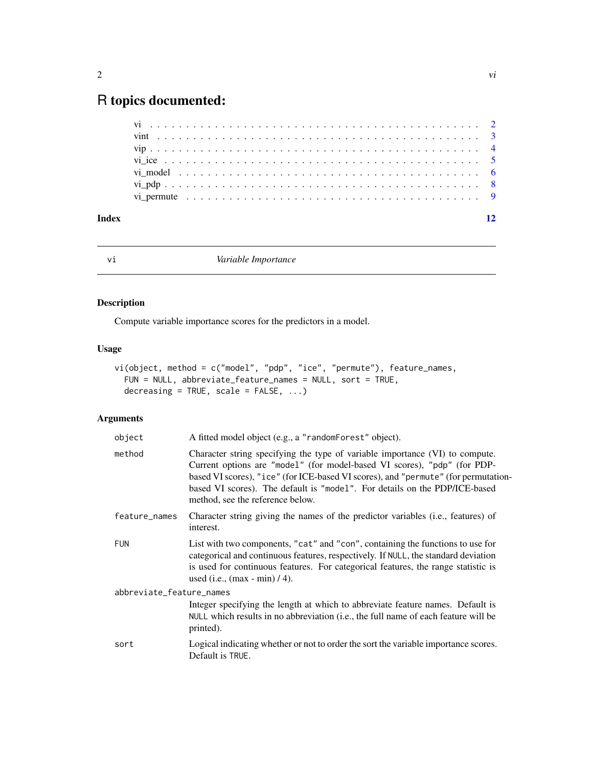## <span id="page-1-0"></span>R topics documented:

| Index |  |  |  |  |  |  |  |  |  |  |  |  |  |  |  |  |  |  |  |  |  |
|-------|--|--|--|--|--|--|--|--|--|--|--|--|--|--|--|--|--|--|--|--|--|

<span id="page-1-1"></span>

vi *Variable Importance*

#### Description

Compute variable importance scores for the predictors in a model.

#### Usage

```
vi(object, method = c("model", "pdp", "ice", "permute"), feature_names,
 FUN = NULL, abbreviate_feature_names = NULL, sort = TRUE,
 decreasing = TRUE, scale = FALSE, ...)
```
### Arguments

| object                   | A fitted model object (e.g., a "randomForest" object).                                                                                                                                                                                                                                                                                                           |
|--------------------------|------------------------------------------------------------------------------------------------------------------------------------------------------------------------------------------------------------------------------------------------------------------------------------------------------------------------------------------------------------------|
| method                   | Character string specifying the type of variable importance (VI) to compute.<br>Current options are "model" (for model-based VI scores), "pdp" (for PDP-<br>based VI scores), "ice" (for ICE-based VI scores), and "permute" (for permutation-<br>based VI scores). The default is "model". For details on the PDP/ICE-based<br>method, see the reference below. |
| feature_names            | Character string giving the names of the predictor variables (i.e., features) of<br>interest.                                                                                                                                                                                                                                                                    |
| <b>FUN</b>               | List with two components, "cat" and "con", containing the functions to use for<br>categorical and continuous features, respectively. If NULL, the standard deviation<br>is used for continuous features. For categorical features, the range statistic is<br>used (i.e., $(max - min) / 4$ ).                                                                    |
| abbreviate_feature_names |                                                                                                                                                                                                                                                                                                                                                                  |
|                          | Integer specifying the length at which to abbreviate feature names. Default is<br>NULL which results in no abbreviation ( <i>i.e.</i> , the full name of each feature will be<br>printed).                                                                                                                                                                       |
| sort                     | Logical indicating whether or not to order the sort the variable importance scores.<br>Default is TRUE.                                                                                                                                                                                                                                                          |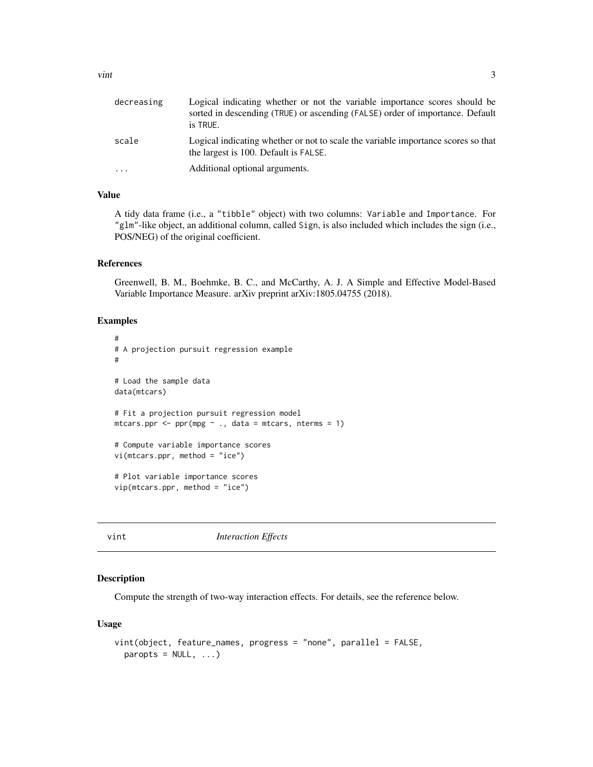<span id="page-2-0"></span>

| decreasing | Logical indicating whether or not the variable importance scores should be<br>sorted in descending (TRUE) or ascending (FALSE) order of importance. Default<br>is TRUE. |
|------------|-------------------------------------------------------------------------------------------------------------------------------------------------------------------------|
| scale      | Logical indicating whether or not to scale the variable importance scores so that<br>the largest is 100. Default is FALSE.                                              |
| $\cdots$   | Additional optional arguments.                                                                                                                                          |

#### Value

A tidy data frame (i.e., a "tibble" object) with two columns: Variable and Importance. For "glm"-like object, an additional column, called Sign, is also included which includes the sign (i.e., POS/NEG) of the original coefficient.

#### References

Greenwell, B. M., Boehmke, B. C., and McCarthy, A. J. A Simple and Effective Model-Based Variable Importance Measure. arXiv preprint arXiv:1805.04755 (2018).

#### Examples

```
#
# A projection pursuit regression example
#
# Load the sample data
data(mtcars)
# Fit a projection pursuit regression model
mtcars.ppr <- ppr(mpg \sim ., data = mtcars, nterms = 1)
# Compute variable importance scores
vi(mtcars.ppr, method = "ice")
# Plot variable importance scores
vip(mtcars.ppr, method = "ice")
```
vint *Interaction Effects*

#### Description

Compute the strength of two-way interaction effects. For details, see the reference below.

#### Usage

```
vint(object, feature_names, progress = "none", parallel = FALSE,
 paropts = NULL, ...
```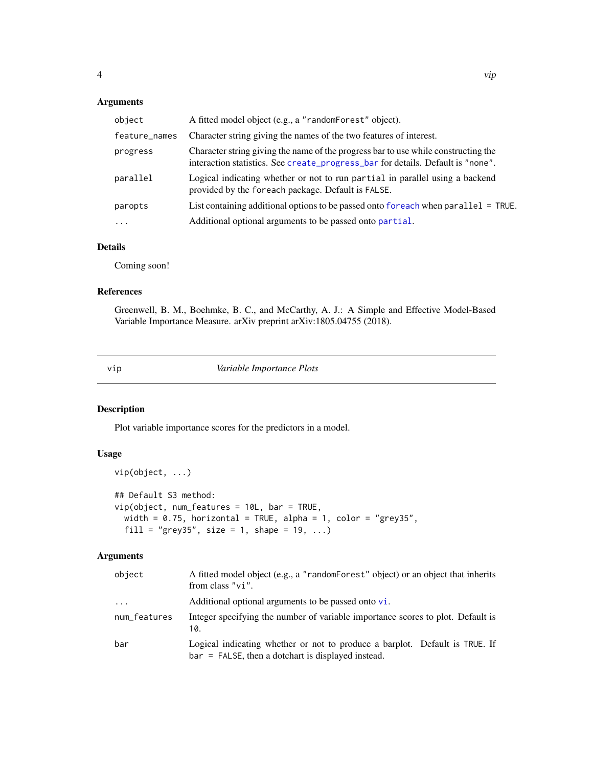#### <span id="page-3-0"></span>Arguments

| object        | A fitted model object (e.g., a "randomForest" object).                                                                                                                |
|---------------|-----------------------------------------------------------------------------------------------------------------------------------------------------------------------|
| feature_names | Character string giving the names of the two features of interest.                                                                                                    |
| progress      | Character string giving the name of the progress bar to use while constructing the<br>interaction statistics. See create_progress_bar for details. Default is "none". |
| parallel      | Logical indicating whether or not to run partial in parallel using a backend<br>provided by the foreach package. Default is FALSE.                                    |
| paropts       | List containing additional options to be passed onto foreach when parallel = TRUE.                                                                                    |
| $\ddotsc$     | Additional optional arguments to be passed onto partial.                                                                                                              |

#### Details

Coming soon!

#### References

Greenwell, B. M., Boehmke, B. C., and McCarthy, A. J.: A Simple and Effective Model-Based Variable Importance Measure. arXiv preprint arXiv:1805.04755 (2018).

vip *Variable Importance Plots*

#### Description

vip(object, ...)

Plot variable importance scores for the predictors in a model.

#### Usage

```
## Default S3 method:
vip(object, num_features = 10L, bar = TRUE,
 width = 0.75, horizontal = TRUE, alpha = 1, color = "grey35",
 fill = "grey35", size = 1, shape = 19, ...)
```
#### Arguments

| object       | A fitted model object (e.g., a "random-orest" object) or an object that inherits<br>from class $"vi"$ .                             |
|--------------|-------------------------------------------------------------------------------------------------------------------------------------|
| .            | Additional optional arguments to be passed onto $vi$ .                                                                              |
| num_features | Integer specifying the number of variable importance scores to plot. Default is<br>10.                                              |
| bar          | Logical indicating whether or not to produce a barplot. Default is TRUE. If<br>$bar =$ FALSE, then a dotchart is displayed instead. |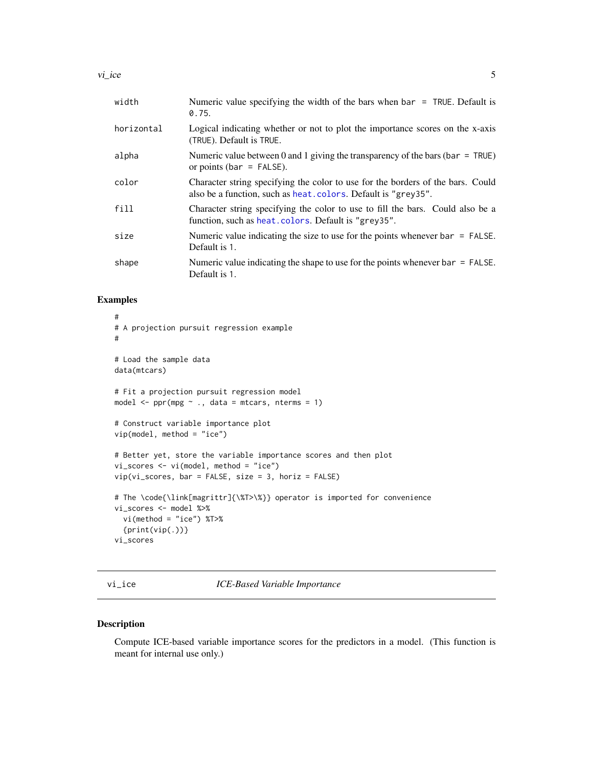<span id="page-4-0"></span>

| width      | Numeric value specifying the width of the bars when $bar = TRUE$ . Default is<br>0.75.                                                            |
|------------|---------------------------------------------------------------------------------------------------------------------------------------------------|
| horizontal | Logical indicating whether or not to plot the importance scores on the x-axis<br>(TRUE). Default is TRUE.                                         |
| alpha      | Numeric value between 0 and 1 giving the transparency of the bars (bar = TRUE)<br>or points ( $bar = FALSE$ ).                                    |
| color      | Character string specifying the color to use for the borders of the bars. Could<br>also be a function, such as heat. colors. Default is "grey35". |
| fill       | Character string specifying the color to use to fill the bars. Could also be a<br>function, such as heat. colors. Default is "grey35".            |
| size       | Numeric value indicating the size to use for the points whenever $bar = FALEE$ .<br>Default is 1.                                                 |
| shape      | Numeric value indicating the shape to use for the points whenever $bar = FALSE$ .<br>Default is 1.                                                |

#### Examples

```
#
# A projection pursuit regression example
#
# Load the sample data
data(mtcars)
# Fit a projection pursuit regression model
model \leq ppr(mpg \sim ., data = mtcars, nterms = 1)
# Construct variable importance plot
vip(model, method = "ice")
# Better yet, store the variable importance scores and then plot
vi_scores <- vi(model, method = "ice")
vip(vi_scores, bar = FALSE, size = 3, horiz = FALSE)
# The \code{\link[magrittr]{\%T>\%}} operator is imported for convenience
vi_scores <- model %>%
  vi(method = "ice") %T>%
  {print(vip(.))}vi_scores
```
vi\_ice *ICE-Based Variable Importance*

#### Description

Compute ICE-based variable importance scores for the predictors in a model. (This function is meant for internal use only.)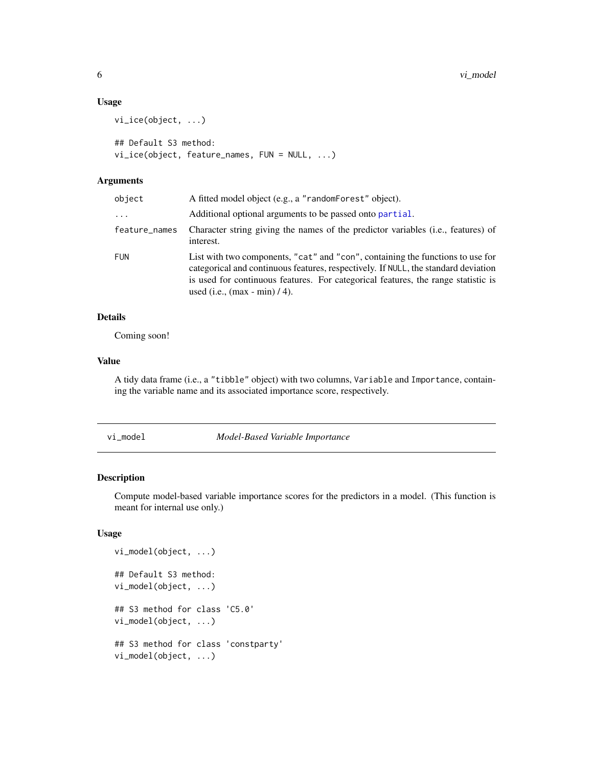#### Usage

```
vi_ice(object, ...)
## Default S3 method:
vi_ice(object, feature_names, FUN = NULL, ...)
```
#### Arguments

| object        | A fitted model object (e.g., a "randomForest" object).                                                                                                                                                                                                                                        |
|---------------|-----------------------------------------------------------------------------------------------------------------------------------------------------------------------------------------------------------------------------------------------------------------------------------------------|
| $\cdots$      | Additional optional arguments to be passed onto partial.                                                                                                                                                                                                                                      |
| feature_names | Character string giving the names of the predictor variables ( <i>i.e.</i> , features) of<br>interest.                                                                                                                                                                                        |
| <b>FUN</b>    | List with two components, "cat" and "con", containing the functions to use for<br>categorical and continuous features, respectively. If NULL, the standard deviation<br>is used for continuous features. For categorical features, the range statistic is<br>used (i.e., $(max - min) / 4$ ). |

#### Details

Coming soon!

#### Value

A tidy data frame (i.e., a "tibble" object) with two columns, Variable and Importance, containing the variable name and its associated importance score, respectively.

vi\_model *Model-Based Variable Importance*

#### Description

Compute model-based variable importance scores for the predictors in a model. (This function is meant for internal use only.)

#### Usage

```
vi_model(object, ...)
## Default S3 method:
vi_model(object, ...)
## S3 method for class 'C5.0'
vi_model(object, ...)
## S3 method for class 'constparty'
vi_model(object, ...)
```
<span id="page-5-0"></span>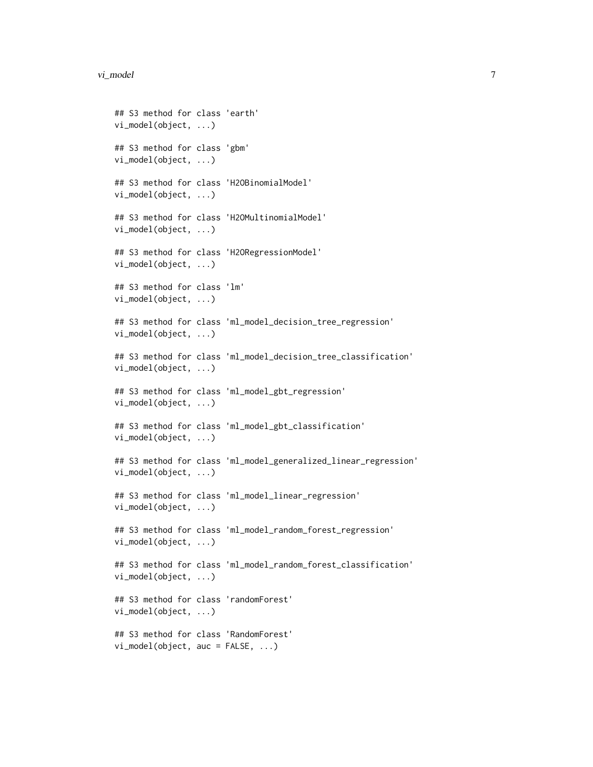```
## S3 method for class 'earth'
vi_model(object, ...)
## S3 method for class 'gbm'
vi_model(object, ...)
## S3 method for class 'H2OBinomialModel'
vi_model(object, ...)
## S3 method for class 'H2OMultinomialModel'
vi_model(object, ...)
## S3 method for class 'H2ORegressionModel'
vi_model(object, ...)
## S3 method for class 'lm'
vi_model(object, ...)
## S3 method for class 'ml_model_decision_tree_regression'
vi_model(object, ...)
## S3 method for class 'ml_model_decision_tree_classification'
vi_model(object, ...)
## S3 method for class 'ml_model_gbt_regression'
vi_model(object, ...)
## S3 method for class 'ml_model_gbt_classification'
vi_model(object, ...)
## S3 method for class 'ml_model_generalized_linear_regression'
vi_model(object, ...)
## S3 method for class 'ml_model_linear_regression'
vi_model(object, ...)
## S3 method for class 'ml_model_random_forest_regression'
vi_model(object, ...)
## S3 method for class 'ml_model_random_forest_classification'
vi_model(object, ...)
## S3 method for class 'randomForest'
vi_model(object, ...)
## S3 method for class 'RandomForest'
vi_model(object, auc = FALSE, ...)
```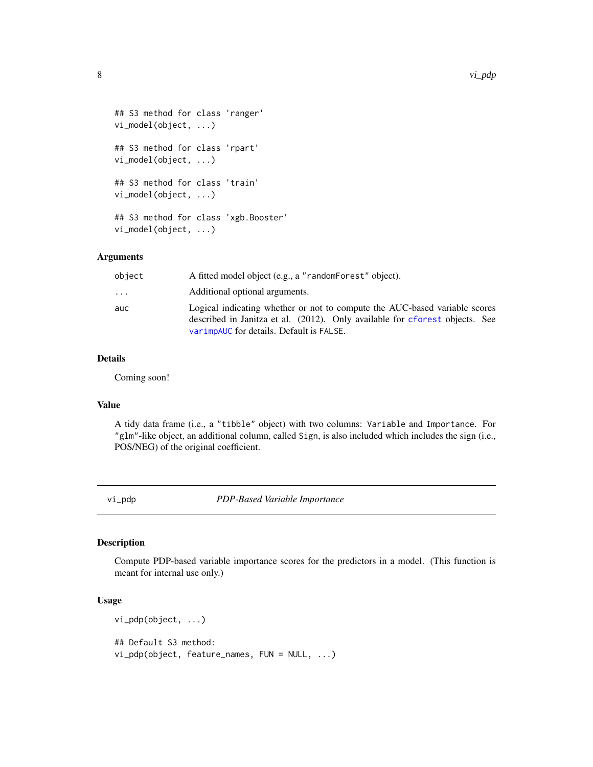```
## S3 method for class 'ranger'
vi_model(object, ...)
## S3 method for class 'rpart'
vi_model(object, ...)
## S3 method for class 'train'
vi_model(object, ...)
## S3 method for class 'xgb.Booster'
vi_model(object, ...)
```
#### Arguments

| object                  | A fitted model object (e.g., a "randomForest" object).                                                                                                                                                |
|-------------------------|-------------------------------------------------------------------------------------------------------------------------------------------------------------------------------------------------------|
| $\cdot$ $\cdot$ $\cdot$ | Additional optional arguments.                                                                                                                                                                        |
| auc                     | Logical indicating whether or not to compute the AUC-based variable scores<br>described in Janitza et al. (2012). Only available for cforest objects. See<br>varimpauc for details. Default is FALSE. |

#### Details

Coming soon!

#### Value

A tidy data frame (i.e., a "tibble" object) with two columns: Variable and Importance. For "glm"-like object, an additional column, called Sign, is also included which includes the sign (i.e., POS/NEG) of the original coefficient.

vi\_pdp *PDP-Based Variable Importance*

#### Description

Compute PDP-based variable importance scores for the predictors in a model. (This function is meant for internal use only.)

#### Usage

```
vi_pdp(object, ...)
## Default S3 method:
vi_pdp(object, feature_names, FUN = NULL, ...)
```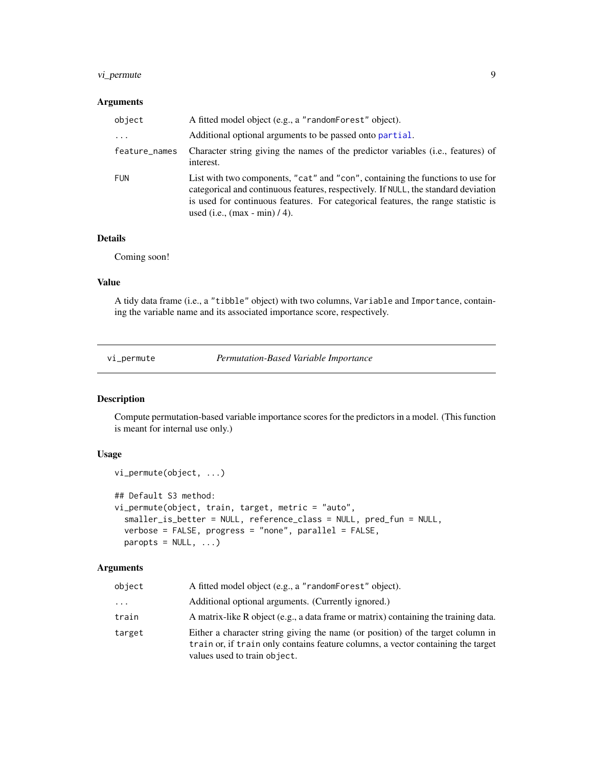#### <span id="page-8-0"></span>vi\_permute 9

#### Arguments

| object        | A fitted model object (e.g., a "randomForest" object).                                                                                                                                                                                                                                        |
|---------------|-----------------------------------------------------------------------------------------------------------------------------------------------------------------------------------------------------------------------------------------------------------------------------------------------|
| $\cdots$      | Additional optional arguments to be passed onto partial.                                                                                                                                                                                                                                      |
| feature_names | Character string giving the names of the predictor variables ( <i>i.e.</i> , features) of<br>interest.                                                                                                                                                                                        |
| <b>FUN</b>    | List with two components, "cat" and "con", containing the functions to use for<br>categorical and continuous features, respectively. If NULL, the standard deviation<br>is used for continuous features. For categorical features, the range statistic is<br>used (i.e., $(max - min) / 4$ ). |

#### Details

Coming soon!

#### Value

A tidy data frame (i.e., a "tibble" object) with two columns, Variable and Importance, containing the variable name and its associated importance score, respectively.

vi\_permute *Permutation-Based Variable Importance*

#### Description

Compute permutation-based variable importance scores for the predictors in a model. (This function is meant for internal use only.)

#### Usage

```
vi_permute(object, ...)
## Default S3 method:
vi_permute(object, train, target, metric = "auto",
  smaller_is_better = NULL, reference_class = NULL, pred_fun = NULL,
  verbose = FALSE, progress = "none", parallel = FALSE,
 paropts = NULL, ...
```
#### Arguments

| object   | A fitted model object (e.g., a "randomForest" object).                                                                                                                                              |
|----------|-----------------------------------------------------------------------------------------------------------------------------------------------------------------------------------------------------|
| $\cdots$ | Additional optional arguments. (Currently ignored.)                                                                                                                                                 |
| train    | A matrix-like R object (e.g., a data frame or matrix) containing the training data.                                                                                                                 |
| target   | Either a character string giving the name (or position) of the target column in<br>train or, if train only contains feature columns, a vector containing the target<br>values used to train object. |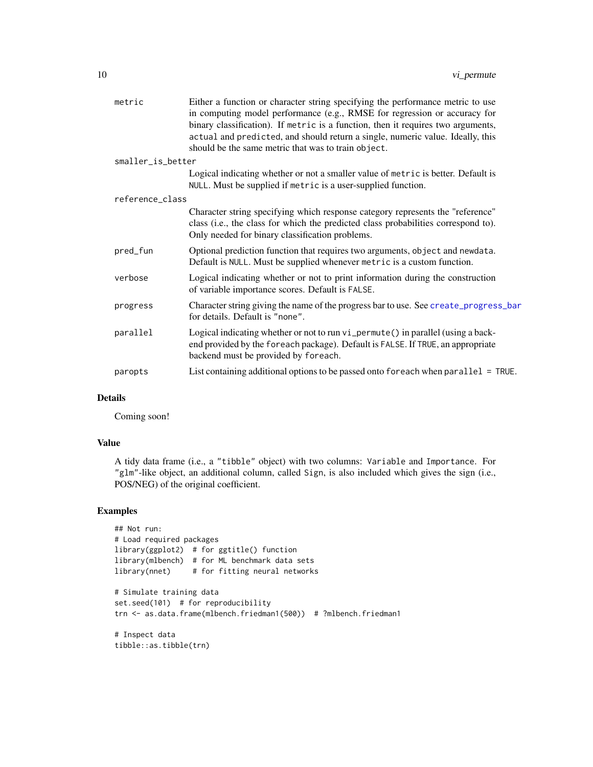<span id="page-9-0"></span>

| metric            | Either a function or character string specifying the performance metric to use<br>in computing model performance (e.g., RMSE for regression or accuracy for<br>binary classification). If metric is a function, then it requires two arguments,<br>actual and predicted, and should return a single, numeric value. Ideally, this |
|-------------------|-----------------------------------------------------------------------------------------------------------------------------------------------------------------------------------------------------------------------------------------------------------------------------------------------------------------------------------|
|                   | should be the same metric that was to train object.                                                                                                                                                                                                                                                                               |
| smaller_is_better |                                                                                                                                                                                                                                                                                                                                   |
|                   | Logical indicating whether or not a smaller value of metric is better. Default is<br>NULL. Must be supplied if metric is a user-supplied function.                                                                                                                                                                                |
| reference_class   |                                                                                                                                                                                                                                                                                                                                   |
|                   | Character string specifying which response category represents the "reference"<br>class (i.e., the class for which the predicted class probabilities correspond to).<br>Only needed for binary classification problems.                                                                                                           |
| pred_fun          | Optional prediction function that requires two arguments, object and newdata.<br>Default is NULL. Must be supplied whenever metric is a custom function.                                                                                                                                                                          |
| verbose           | Logical indicating whether or not to print information during the construction<br>of variable importance scores. Default is FALSE.                                                                                                                                                                                                |
| progress          | Character string giving the name of the progress bar to use. See create_progress_bar<br>for details. Default is "none".                                                                                                                                                                                                           |
| parallel          | Logical indicating whether or not to run vi_permute() in parallel (using a back-<br>end provided by the foreach package). Default is FALSE. If TRUE, an appropriate<br>backend must be provided by foreach.                                                                                                                       |
| paropts           | List containing additional options to be passed onto foreach when parallel = TRUE.                                                                                                                                                                                                                                                |

#### Details

Coming soon!

#### Value

A tidy data frame (i.e., a "tibble" object) with two columns: Variable and Importance. For "glm"-like object, an additional column, called Sign, is also included which gives the sign (i.e., POS/NEG) of the original coefficient.

#### Examples

```
## Not run:
# Load required packages
library(ggplot2) # for ggtitle() function
library(mlbench) # for ML benchmark data sets
library(nnet) # for fitting neural networks
# Simulate training data
set.seed(101) # for reproducibility
trn <- as.data.frame(mlbench.friedman1(500)) # ?mlbench.friedman1
# Inspect data
tibble::as.tibble(trn)
```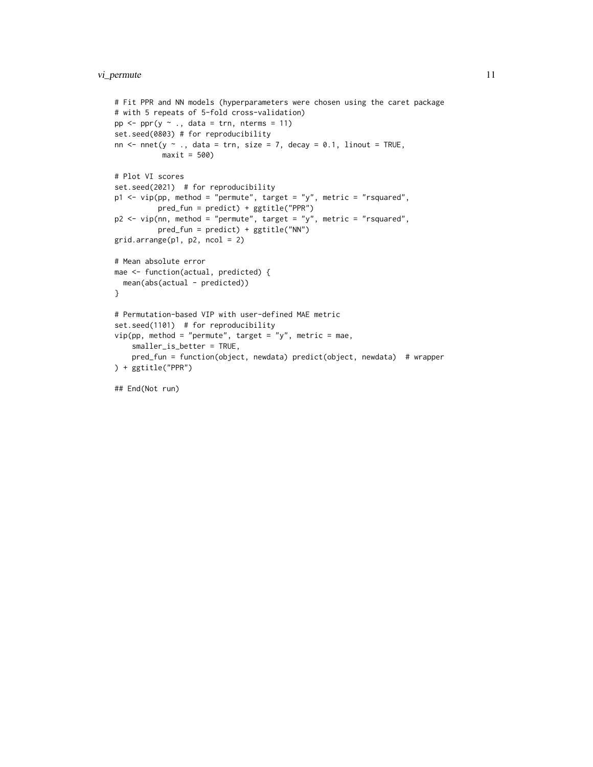#### vi\_permute 11

```
# Fit PPR and NN models (hyperparameters were chosen using the caret package
# with 5 repeats of 5-fold cross-validation)
pp \le -ppr(y \sim ., data = trn, nterns = 11)set.seed(0803) # for reproducibility
nn \le nnet(y \sim ., data = trn, size = 7, decay = 0.1, linout = TRUE,
           maxit = 500# Plot VI scores
set.seed(2021) # for reproducibility
p1 <- vip(pp, method = "permute", target = "y", metric = "rsquared",
         pred_fun = predict) + ggtitle("PPR")
p2 <- vip(nn, method = "permute", target = "y", metric = "rsquared",
          pred_fun = predict) + ggtitle("NN")
grid.arrayange(p1, p2, ncol = 2)# Mean absolute error
mae <- function(actual, predicted) {
  mean(abs(actual - predicted))
}
# Permutation-based VIP with user-defined MAE metric
set.seed(1101) # for reproducibility
vip(pp, method = "permute", target = "y", metric = mae,smaller_is_better = TRUE,
   pred_fun = function(object, newdata) predict(object, newdata) # wrapper
) + ggtitle("PPR")
```
## End(Not run)